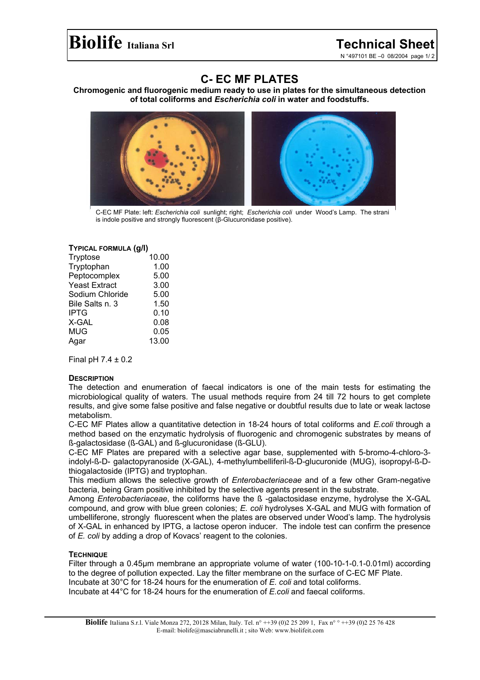N °497101 BE –0 08/2004 page 1/ 2

# **C- EC MF PLATES**

**Chromogenic and fluorogenic medium ready to use in plates for the simultaneous detection of total coliforms and** *Escherichia coli* **in water and foodstuffs.**



C-EC MF Plate: left: *Escherichia coli* sunlight; right; *Escherichia coli* under Wood's Lamp. The strani is indole positive and strongly fluorescent (β-Glucuronidase positive).

### **TYPICAL FORMULA (g/l)**

| Tryptose             | 10.00 |
|----------------------|-------|
| Tryptophan           | 1.00  |
| Peptocomplex         | 5.00  |
| <b>Yeast Extract</b> | 3.00  |
| Sodium Chloride      | 5.00  |
| Bile Salts n. 3      | 1.50  |
| <b>IPTG</b>          | 0.10  |
| X-GAL                | 0.08  |
| MUG                  | 0.05  |
| Agar                 | 13.00 |

Final pH  $7.4 \pm 0.2$ 

# **DESCRIPTION**

The detection and enumeration of faecal indicators is one of the main tests for estimating the microbiological quality of waters. The usual methods require from 24 till 72 hours to get complete results, and give some false positive and false negative or doubtful results due to late or weak lactose metabolism.

C-EC MF Plates allow a quantitative detection in 18-24 hours of total coliforms and *E.coli* through a method based on the enzymatic hydrolysis of fluorogenic and chromogenic substrates by means of ß-galactosidase (ß-GAL) and ß-glucuronidase (ß-GLU).

C-EC MF Plates are prepared with a selective agar base, supplemented with 5-bromo-4-chloro-3 indolyl-ß-D- galactopyranoside (X-GAL), 4-methylumbelliferil-ß-D-glucuronide (MUG), isopropyl-ß-Dthiogalactoside (IPTG) and tryptophan.

This medium allows the selective growth of *Enterobacteriaceae* and of a few other Gram-negative bacteria, being Gram positive inhibited by the selective agents present in the substrate.

Among *Enterobacteriaceae*, the coliforms have the ß -galactosidase enzyme, hydrolyse the X-GAL compound, and grow with blue green colonies; *E. coli* hydrolyses X-GAL and MUG with formation of umbelliferone, strongly fluorescent when the plates are observed under Wood's lamp. The hydrolysis of X-GAL in enhanced by IPTG, a lactose operon inducer. The indole test can confirm the presence of *E. coli* by adding a drop of Kovacs' reagent to the colonies.

# **TECHNIQUE**

Filter through a 0.45µm membrane an appropriate volume of water (100-10-1-0.1-0.01ml) according to the degree of pollution expected. Lay the filter membrane on the surface of C-EC MF Plate. Incubate at 30°C for 18-24 hours for the enumeration of *E. coli* and total coliforms. Incubate at 44°C for 18-24 hours for the enumeration of *E.coli* and faecal coliforms.